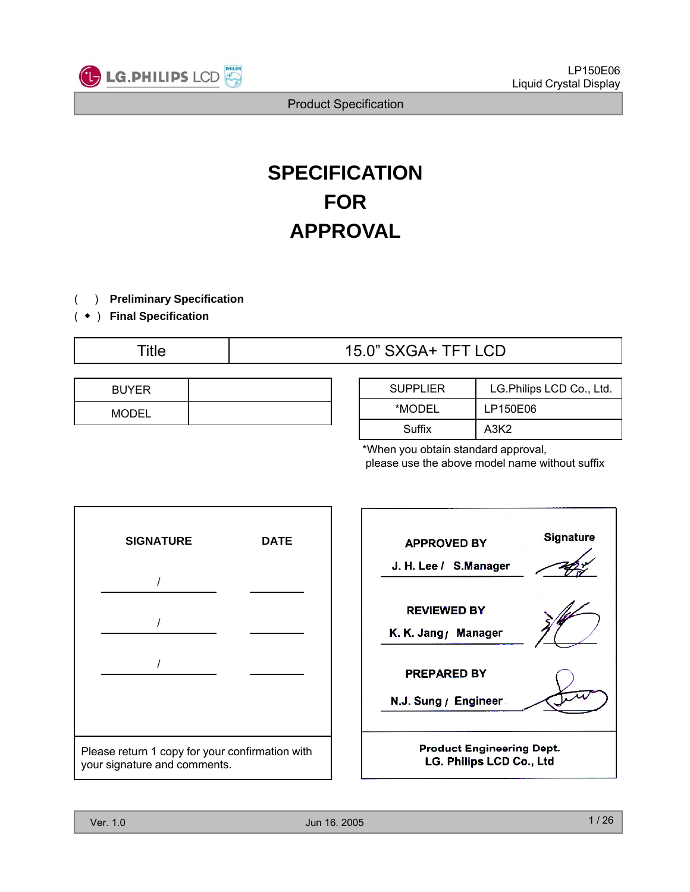

## **SPECIFICATION FOR APPROVAL**

( ) **Preliminary Specification**

( ◆ ) **Final Specification**

## Title  $15.0$ " SXGA+ TFT LCD

| <b>BUYER</b> |  |
|--------------|--|
| <b>MODEL</b> |  |

| <b>SUPPLIER</b> | LG.Philips LCD Co., Ltd. |
|-----------------|--------------------------|
| *MODEL          | LP150E06                 |
| Suffix          | A3K2                     |

\*When you obtain standard approval, please use the above model name without suffix



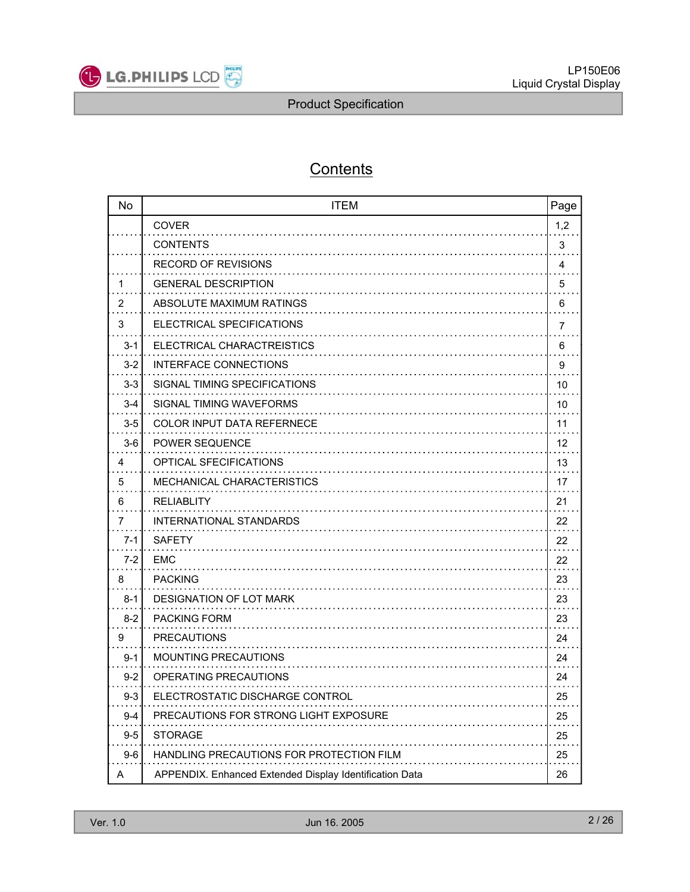

## **Contents**

| No      | <b>ITEM</b>                                             | Page |
|---------|---------------------------------------------------------|------|
|         | <b>COVER</b>                                            | 1,2  |
|         | <b>CONTENTS</b>                                         | 3    |
|         | <b>RECORD OF REVISIONS</b>                              | 4    |
| 1       | <b>GENERAL DESCRIPTION</b>                              | 5    |
| 2       | ABSOLUTE MAXIMUM RATINGS                                | 6    |
| 3       | ELECTRICAL SPECIFICATIONS                               | 7    |
| 3-1     | ELECTRICAL CHARACTREISTICS                              | 6    |
| 3-2     | INTERFACE CONNECTIONS                                   | 9    |
| $3 - 3$ | SIGNAL TIMING SPECIFICATIONS                            | 10   |
| 3-4     | SIGNAL TIMING WAVEFORMS                                 | 10   |
| 3-5     | COLOR INPUT DATA REFERNECE                              | 11   |
| $3-6$   | <b>POWER SEQUENCE</b>                                   | 12   |
| 4       | OPTICAL SFECIFICATIONS                                  | 13   |
| 5       | <b>MECHANICAL CHARACTERISTICS</b>                       | 17   |
| 6       | RELIABLITY                                              | 21   |
| 7       | <b>INTERNATIONAL STANDARDS</b>                          | 22   |
| $7-1$   | SAFETY                                                  | 22   |
| $7-2$   | EMC                                                     | 22   |
| 8       | <b>PACKING</b>                                          | 23   |
| $8 - 1$ | <b>DESIGNATION OF LOT MARK</b>                          | 23   |
| $8 - 2$ | <b>PACKING FORM</b>                                     | 23   |
| 9       | <b>PRECAUTIONS</b>                                      | 24   |
| $9 - 1$ | <b>MOUNTING PRECAUTIONS</b>                             | 24   |
| $9 - 2$ | OPERATING PRECAUTIONS                                   | 24   |
| $9-3$   | ELECTROSTATIC DISCHARGE CONTROL                         | 25   |
| $9 - 4$ | PRECAUTIONS FOR STRONG LIGHT EXPOSURE                   | 25   |
| $9 - 5$ | <b>STORAGE</b>                                          | 25   |
| $9-6$   | HANDLING PRECAUTIONS FOR PROTECTION FILM                | 25   |
| A       | APPENDIX. Enhanced Extended Display Identification Data | 26   |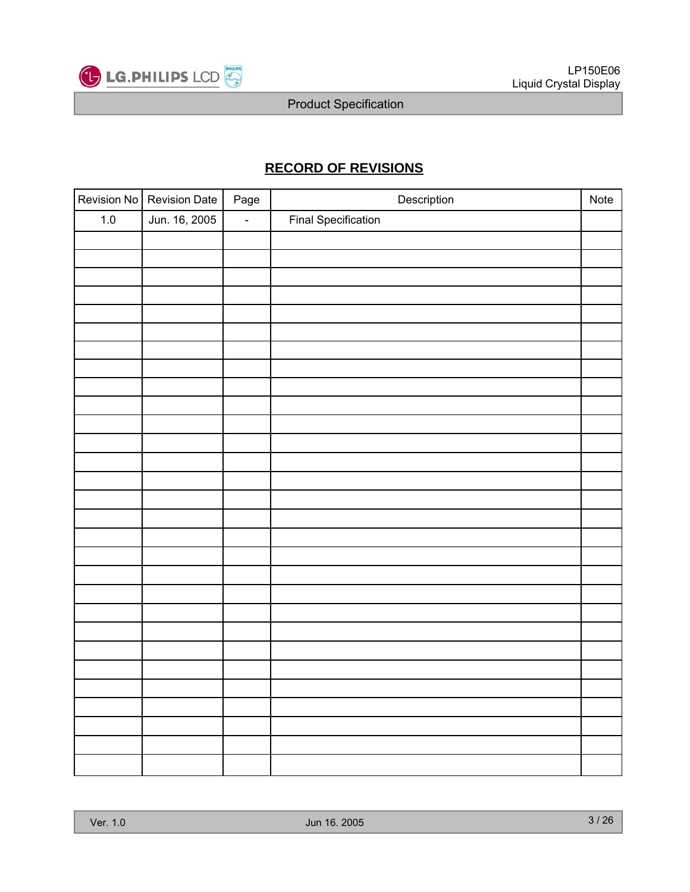

## **RECORD OF REVISIONS**

|         | Revision No Revision Date | Page                     | Description                | Note |
|---------|---------------------------|--------------------------|----------------------------|------|
| $1.0\,$ | Jun. 16, 2005             | $\overline{\phantom{a}}$ | <b>Final Specification</b> |      |
|         |                           |                          |                            |      |
|         |                           |                          |                            |      |
|         |                           |                          |                            |      |
|         |                           |                          |                            |      |
|         |                           |                          |                            |      |
|         |                           |                          |                            |      |
|         |                           |                          |                            |      |
|         |                           |                          |                            |      |
|         |                           |                          |                            |      |
|         |                           |                          |                            |      |
|         |                           |                          |                            |      |
|         |                           |                          |                            |      |
|         |                           |                          |                            |      |
|         |                           |                          |                            |      |
|         |                           |                          |                            |      |
|         |                           |                          |                            |      |
|         |                           |                          |                            |      |
|         |                           |                          |                            |      |
|         |                           |                          |                            |      |
|         |                           |                          |                            |      |
|         |                           |                          |                            |      |
|         |                           |                          |                            |      |
|         |                           |                          |                            |      |
|         |                           |                          |                            |      |
|         |                           |                          |                            |      |
|         |                           |                          |                            |      |
|         |                           |                          |                            |      |
|         |                           |                          |                            |      |
|         |                           |                          |                            |      |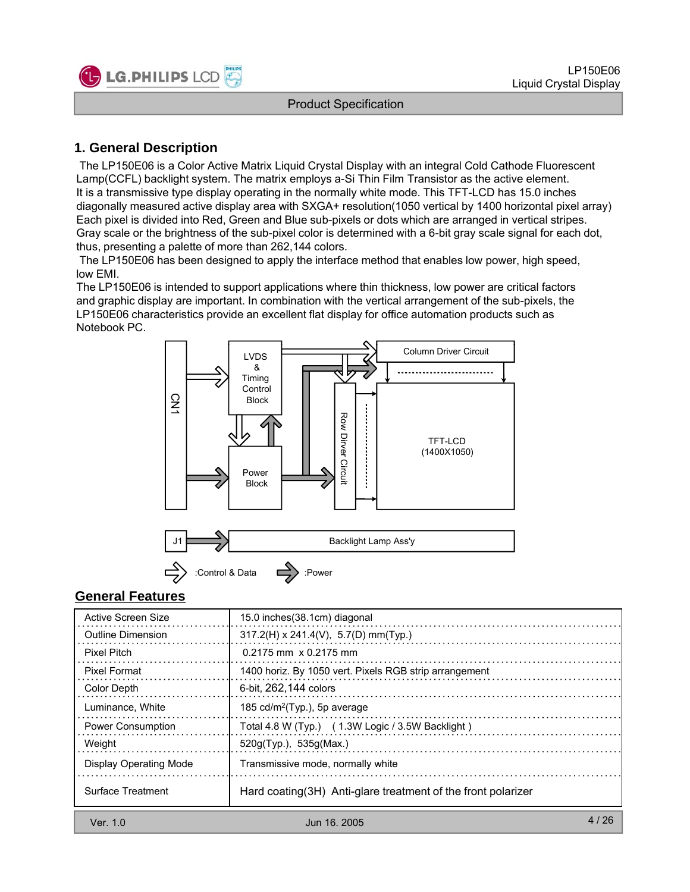

## **1. General Description**

The LP150E06 is a Color Active Matrix Liquid Crystal Display with an integral Cold Cathode Fluorescent Lamp(CCFL) backlight system. The matrix employs a-Si Thin Film Transistor as the active element. It is a transmissive type display operating in the normally white mode. This TFT-LCD has 15.0 inches diagonally measured active display area with SXGA+ resolution(1050 vertical by 1400 horizontal pixel array) Each pixel is divided into Red, Green and Blue sub-pixels or dots which are arranged in vertical stripes. Gray scale or the brightness of the sub-pixel color is determined with a 6-bit gray scale signal for each dot, thus, presenting a palette of more than 262,144 colors.

The LP150E06 has been designed to apply the interface method that enables low power, high speed, low EMI.

The LP150E06 is intended to support applications where thin thickness, low power are critical factors and graphic display are important. In combination with the vertical arrangement of the sub-pixels, the LP150E06 characteristics provide an excellent flat display for office automation products such as Notebook PC.



#### **General Features**

| Active Screen Size       | 15.0 inches (38.1cm) diagonal                                 |      |
|--------------------------|---------------------------------------------------------------|------|
| Outline Dimension        | $317.2(H) \times 241.4(V)$ , 5.7(D) mm(Typ.)                  |      |
| Pixel Pitch              | $0.2175$ mm $\times$ 0.2175 mm                                |      |
| <b>Pixel Format</b>      | 1400 horiz. By 1050 vert. Pixels RGB strip arrangement        |      |
| Color Depth              | 6-bit. 262.144 colors                                         |      |
| Luminance, White         | 185 $cd/m2(Type.)$ , 5p average                               |      |
| <b>Power Consumption</b> | Total 4.8 W (Typ.) (1.3W Logic / 3.5W Backlight)              |      |
| Weight                   | 520g(Typ.), 535g(Max.)                                        |      |
| Display Operating Mode   | Transmissive mode, normally white                             |      |
| Surface Treatment        | Hard coating (3H) Anti-glare treatment of the front polarizer |      |
| Ver. $1.0$               | Jun 16, 2005                                                  | 4/26 |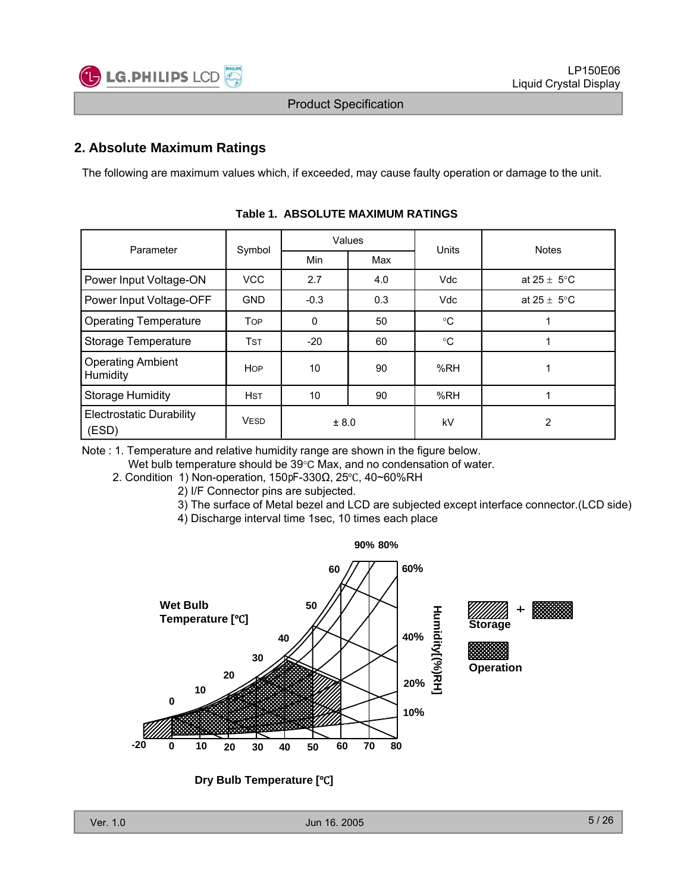

## **2. Absolute Maximum Ratings**

The following are maximum values which, if exceeded, may cause faulty operation or damage to the unit.

| Parameter                                | Symbol      |             | Values | <b>Units</b> | <b>Notes</b>            |  |  |  |
|------------------------------------------|-------------|-------------|--------|--------------|-------------------------|--|--|--|
|                                          |             | <b>Min</b>  | Max    |              |                         |  |  |  |
| Power Input Voltage-ON                   | <b>VCC</b>  | 2.7         | 4.0    | Vdc          | at $25 \pm 5^{\circ}$ C |  |  |  |
| Power Input Voltage-OFF                  | <b>GND</b>  | $-0.3$      | 0.3    | Vdc          | at $25 \pm 5^{\circ}$ C |  |  |  |
| <b>Operating Temperature</b>             | <b>TOP</b>  | $\mathbf 0$ | 50     | $^{\circ}C$  |                         |  |  |  |
| Storage Temperature                      | <b>TST</b>  | $-20$       | 60     | $^{\circ}C$  |                         |  |  |  |
| <b>Operating Ambient</b><br>Humidity     | <b>HOP</b>  | 10          | 90     | %RH          |                         |  |  |  |
| <b>Storage Humidity</b>                  | <b>HST</b>  | 10          | 90     | %RH          |                         |  |  |  |
| <b>Electrostatic Durability</b><br>(ESD) | <b>VESD</b> | ± 8.0       |        | kV           | 2                       |  |  |  |

|  | Table 1. ABSOLUTE MAXIMUM RATINGS |  |
|--|-----------------------------------|--|
|--|-----------------------------------|--|

Note : 1. Temperature and relative humidity range are shown in the figure below.

Wet bulb temperature should be 39°C Max, and no condensation of water.

2. Condition 1) Non-operation, 150 pF-330Ω, 25°C, 40~60%RH

- 2) I/F Connector pins are subjected.
- 3) The surface of Metal bezel and LCD are subjected except interface connector.(LCD side)
- 4) Discharge interval time 1sec, 10 times each place



**Dry Bulb Temperature [°C]**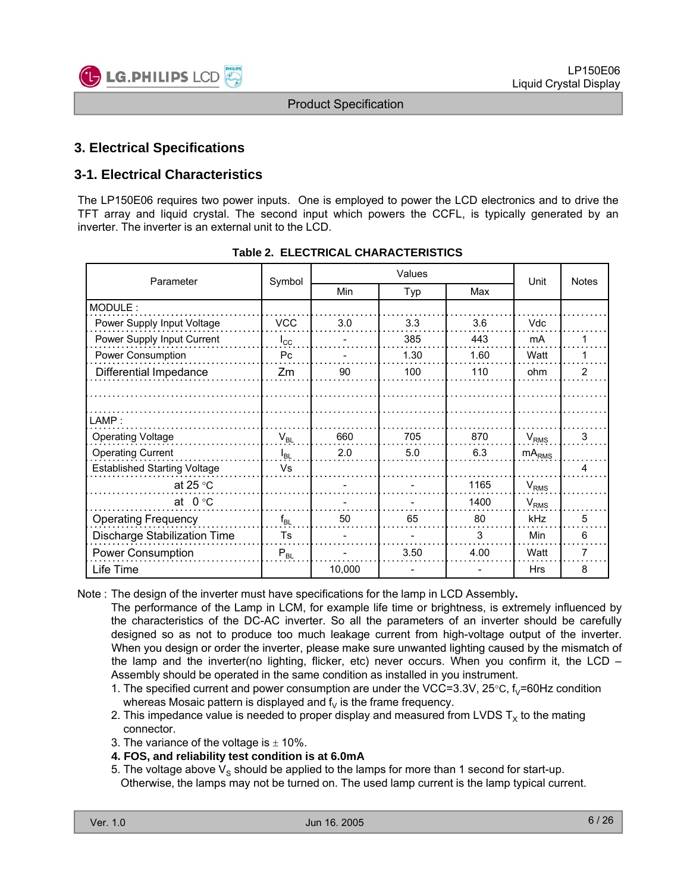

## **3. Electrical Specifications**

## **3-1. Electrical Characteristics**

The LP150E06 requires two power inputs. One is employed to power the LCD electronics and to drive the TFT array and liquid crystal. The second input which powers the CCFL, is typically generated by an inverter. The inverter is an external unit to the LCD.

| Parameter                           | Symbol       |        | Unit | <b>Notes</b> |                   |   |
|-------------------------------------|--------------|--------|------|--------------|-------------------|---|
|                                     |              | Min    | Typ  | Max          |                   |   |
| MODULE:                             |              |        |      |              |                   |   |
| Power Supply Input Voltage          | <b>VCC</b>   | 3.0    | 3.3  | 3.6          | Vdc               |   |
| Power Supply Input Current          | $I_{\rm CC}$ |        | 385  | 443          | mA                |   |
| Power Consumption                   | Pc           |        | 1.30 | 1.60         | Watt              |   |
| Differential Impedance              | Zm           | 90     | 100  | 110          | ohm               | 2 |
|                                     |              |        |      |              |                   |   |
|                                     |              |        |      |              |                   |   |
| LAMP:                               |              |        |      |              |                   |   |
| <b>Operating Voltage</b>            | $V_{BL}$     | 660    | 705  | 870          | $V_{RMS}$         | 3 |
| <b>Operating Current</b>            | $I_{BL}$     | 2.0    | 5.0  | 6.3          | mA <sub>RMS</sub> |   |
| <b>Established Starting Voltage</b> | Vs           |        |      |              |                   | 4 |
| at 25 $\degree$ C                   |              |        |      | 1165         | $V_{RMS}$         |   |
| at $0^{\circ}$ C                    |              |        |      | 1400         | $V_{RMS}$         |   |
| <b>Operating Frequency</b>          | $f_{BL}$     | 50     | 65   | 80           | kHz               | 5 |
| Discharge Stabilization Time        | Ts           |        |      | 3            | Min               | 6 |
| Power Consumption                   | $P_{BL}$     |        | 3.50 | 4.00         | Watt              | 7 |
| Life Time                           |              | 10,000 |      |              | Hrs               | 8 |

#### **Table 2. ELECTRICAL CHARACTERISTICS**

Note : The design of the inverter must have specifications for the lamp in LCD Assembly**.**

The performance of the Lamp in LCM, for example life time or brightness, is extremely influenced by the characteristics of the DC-AC inverter. So all the parameters of an inverter should be carefully designed so as not to produce too much leakage current from high-voltage output of the inverter. When you design or order the inverter, please make sure unwanted lighting caused by the mismatch of the lamp and the inverter(no lighting, flicker, etc) never occurs. When you confirm it, the LCD – Assembly should be operated in the same condition as installed in you instrument.

- 1. The specified current and power consumption are under the VCC=3.3V, 25 $\degree$ C, f<sub>V</sub>=60Hz condition whereas Mosaic pattern is displayed and  $f<sub>V</sub>$  is the frame frequency.
- 2. This impedance value is needed to proper display and measured from LVDS  $T_x$  to the mating connector.
- 3. The variance of the voltage is  $\pm$  10%.
- **4. FOS, and reliability test condition is at 6.0mA**

<sup>5.</sup> The voltage above  $V_S$  should be applied to the lamps for more than 1 second for start-up. Otherwise, the lamps may not be turned on. The used lamp current is the lamp typical current.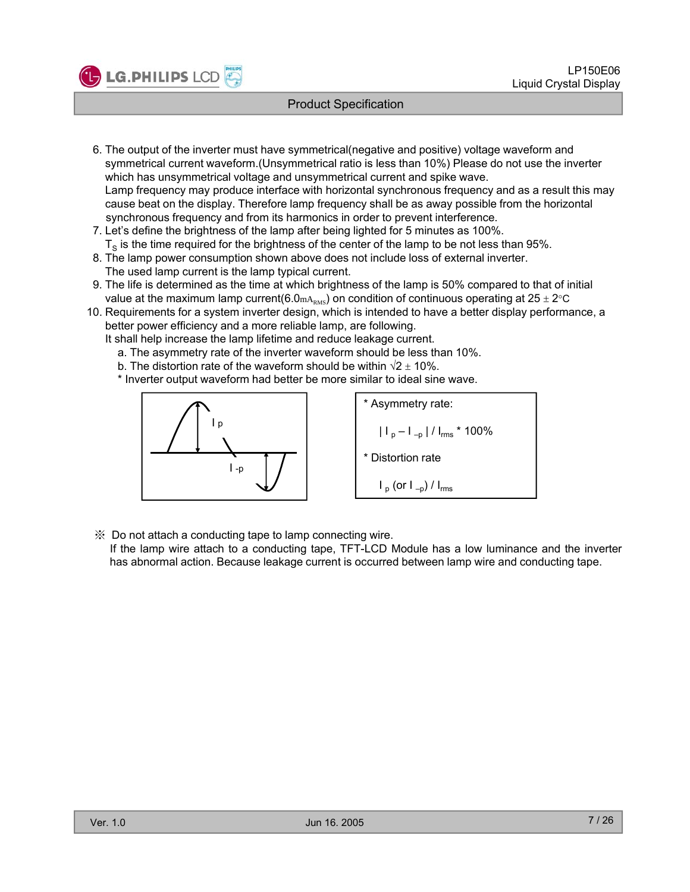

- 6. The output of the inverter must have symmetrical(negative and positive) voltage waveform and symmetrical current waveform.(Unsymmetrical ratio is less than 10%) Please do not use the inverter which has unsymmetrical voltage and unsymmetrical current and spike wave. Lamp frequency may produce interface with horizontal synchronous frequency and as a result this may cause beat on the display. Therefore lamp frequency shall be as away possible from the horizontal synchronous frequency and from its harmonics in order to prevent interference.
- 7. Let's define the brightness of the lamp after being lighted for 5 minutes as 100%.  $T<sub>S</sub>$  is the time required for the brightness of the center of the lamp to be not less than 95%.
- 8. The lamp power consumption shown above does not include loss of external inverter. The used lamp current is the lamp typical current.
- 9. The life is determined as the time at which brightness of the lamp is 50% compared to that of initial value at the maximum lamp current(6.0 $m_{\text{RMS}}$ ) on condition of continuous operating at 25 ± 2°C
- 10. Requirements for a system inverter design, which is intended to have a better display performance, a better power efficiency and a more reliable lamp, are following.
	- It shall help increase the lamp lifetime and reduce leakage current.
		- a. The asymmetry rate of the inverter waveform should be less than 10%.
		- b. The distortion rate of the waveform should be within  $\sqrt{2} \pm 10\%$ .
		- \* Inverter output waveform had better be more similar to ideal sine wave.



\* Asymmetry rate:  $|I_p - I_{-p}|/I_{rms} * 100\%$ \* Distortion rate  $I_p$  (or  $I_{-p}$ ) /  $I_{rms}$ 

※ Do not attach a conducting tape to lamp connecting wire.

If the lamp wire attach to a conducting tape, TFT-LCD Module has a low luminance and the inverter has abnormal action. Because leakage current is occurred between lamp wire and conducting tape.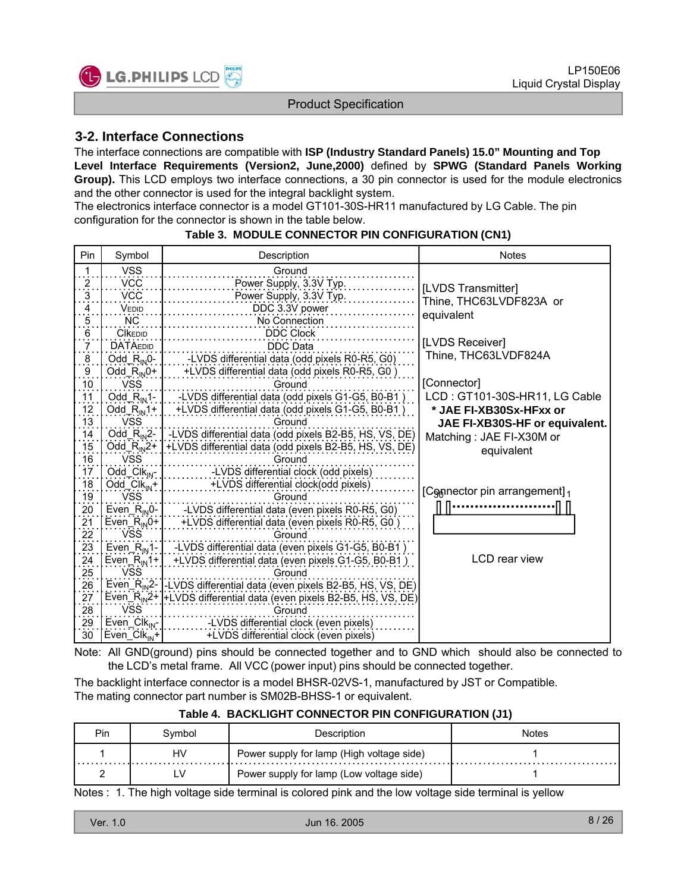

## **3-2. Interface Connections**

The interface connections are compatible with **ISP (Industry Standard Panels) 15.0" Mounting and Top Level Interface Requirements (Version2, June,2000)** defined by **SPWG (Standard Panels Working** Group). This LCD employs two interface connections, a 30 pin connector is used for the module electronics and the other connector is used for the integral backlight system.

The electronics interface connector is a model GT101-30S-HR11 manufactured by LG Cable. The pin configuration for the connector is shown in the table below.

| Pin                                    | Symbol                                       | Description                                                                      | <b>Notes</b>                             |
|----------------------------------------|----------------------------------------------|----------------------------------------------------------------------------------|------------------------------------------|
| $\mathbf{1}$                           | <b>VSS</b>                                   | Ground                                                                           |                                          |
| $\frac{2}{\cdot}$                      | <b>VCC</b>                                   | Power Supply, 3.3V Typ.                                                          | [LVDS Transmitter]                       |
| $\overline{3}$                         | <b>VCC</b>                                   | Power Supply, 3.3V Typ.                                                          |                                          |
| $\frac{4}{1}$                          | VEDID                                        | DDC 3.3V power                                                                   | Thine, THC63LVDF823A or                  |
| $\overline{5}$ .                       | <b>NC</b>                                    | No Connection                                                                    | equivalent                               |
| $6 \frac{1}{2}$                        | <b>CIKEDID</b>                               | <b>DDC Clock</b>                                                                 |                                          |
| $\overline{7}$                         | <b>DATAEDID</b>                              | DDC Data                                                                         | [LVDS Receiver]                          |
| $\overline{8}$                         | Odd_ $R_{IN}$ 0-                             | -LVDS differential data (odd pixels R0-R5, G0)                                   | Thine, THC63LVDF824A                     |
|                                        | Odd_ $R_{IN}$ 0+                             | +LVDS differential data (odd pixels R0-R5, G0)                                   |                                          |
| $\frac{9}{10}$                         | <b>VSS</b>                                   | Ground                                                                           | [Connector]                              |
|                                        | Odd $R_{\text{IN}}$ 1-                       | -LVDS differential data (odd pixels G1-G5, B0-B1)                                | LCD: GT101-30S-HR11, LG Cable            |
| $\frac{11}{12}$                        | Odd $R_{IN}1+$                               | +LVDS differential data (odd pixels G1-G5, B0-B1)                                | * JAE FI-XB30Sx-HFxx or                  |
| 13                                     | <b>VSS</b>                                   | Ground                                                                           | JAE FI-XB30S-HF or equivalent.           |
| $\frac{14}{15}$                        | $Odd_R_{IN}2-$                               | -LVDS differential data (odd pixels B2-B5, HS, VS, DE)                           | Matching: JAE FI-X30M or                 |
|                                        | Odd_ $R_{IN}$ 2+                             | +LVDS differential data (odd pixels B2-B5, HS, VS, DE)                           | equivalent                               |
| 16                                     | <b>VSS</b>                                   | Ground                                                                           |                                          |
| $\frac{17}{18}$<br>$\frac{18}{19}$     | $Odd$ Clk <sub>JN</sub> -                    | -LVDS differential clock (odd pixels)                                            |                                          |
|                                        | Odd $Clk_{N}$ +                              | +LVDS differential clock(odd pixels)                                             |                                          |
|                                        | <b>VSS</b>                                   | Ground                                                                           | [Connector pin arrangement] <sub>1</sub> |
|                                        | $Even_R$ <sub>IN</sub> $0$ -                 | -LVDS differential data (even pixels R0-R5, G0)                                  |                                          |
|                                        | Even <sub><math>R_{\text{IN}}</math>0+</sub> | +LVDS differential data (even pixels R0-R5, G0)                                  |                                          |
| 20<br>21<br>22<br>23<br>24<br>25<br>26 | <b>VSS</b>                                   | Ground                                                                           |                                          |
|                                        | $Even_R_{IN}1$ -                             | -LVDS differential data (even pixels G1-G5, B0-B1)                               |                                          |
|                                        | Even <sub><math>R_{\text{IN}}</math>1+</sub> | +LVDS differential data (even pixels G1-G5, B0-B1)                               | LCD rear view                            |
|                                        | <b>VSS</b>                                   | Ground                                                                           |                                          |
|                                        |                                              | Even_R <sub>in</sub> 2-1-LVDS differential data (even pixels B2-B5, HS, VS, DE)  |                                          |
|                                        |                                              | Even_R <sub>IN</sub> 2+  +LVDS differential data (even pixels B2-B5, HS, VS, DE) |                                          |
| $\frac{27}{28}$                        | <b>VSS</b>                                   | Ground                                                                           |                                          |
| 29                                     | $Even_Clk_{IN}$                              | LVDS differential clock (even pixels)                                            |                                          |
| 30                                     | $Even_Clk_{IN}$ +                            | +LVDS differential clock (even pixels)                                           |                                          |

#### **Table 3. MODULE CONNECTOR PIN CONFIGURATION (CN1)**

Note: All GND(ground) pins should be connected together and to GND which should also be connected to the LCD's metal frame. All VCC (power input) pins should be connected together.

The backlight interface connector is a model BHSR-02VS-1, manufactured by JST or Compatible. The mating connector part number is SM02B-BHSS-1 or equivalent.

| Pin | Svmbol | Description                               | <b>Notes</b> |
|-----|--------|-------------------------------------------|--------------|
|     | HV     | Power supply for lamp (High voltage side) |              |
|     | LV     | Power supply for lamp (Low voltage side)  |              |

#### **Table 4. BACKLIGHT CONNECTOR PIN CONFIGURATION (J1)**

Notes : 1. The high voltage side terminal is colored pink and the low voltage side terminal is yellow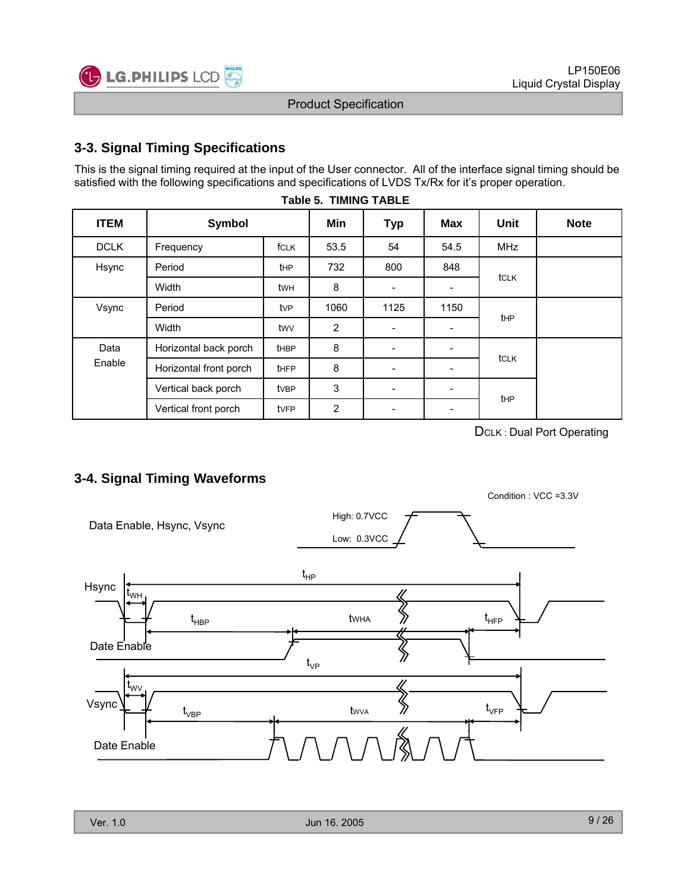

## **3-3. Signal Timing Specifications**

This is the signal timing required at the input of the User connector. All of the interface signal timing should be satisfied with the following specifications and specifications of LVDS Tx/Rx for it's proper operation.

**Table 5. TIMING TABLE**

| <b>ITEM</b> | Symbol                 |             | Min            | <b>Typ</b>               | Max                      | <b>Unit</b>     | <b>Note</b> |
|-------------|------------------------|-------------|----------------|--------------------------|--------------------------|-----------------|-------------|
| <b>DCLK</b> | fCLK<br>Frequency      |             | 53.5           | 54                       | 54.5                     | <b>MHz</b>      |             |
| Hsync       | Period                 | <b>t</b> HP | 732            | 800                      | 848                      |                 |             |
|             | Width                  | twh         | 8              |                          | $\overline{\phantom{a}}$ | tclk            |             |
| Vsync       | Period                 | tvP         | 1060           | 1125                     | 1150                     | t <sub>HP</sub> |             |
|             | Width                  | twy         | $\overline{2}$ | ÷                        | $\overline{\phantom{a}}$ |                 |             |
| Data        | Horizontal back porch  | <b>tHBP</b> | 8              |                          | $\overline{\phantom{a}}$ |                 |             |
| Enable      | Horizontal front porch | <b>tHFP</b> | 8              | $\overline{\phantom{a}}$ | $\overline{\phantom{a}}$ | tclk            |             |
|             | Vertical back porch    | tvBP        | 3              |                          | $\overline{\phantom{a}}$ |                 |             |
|             | Vertical front porch   | tvFP        | 2              |                          | $\overline{\phantom{a}}$ | t <sub>HP</sub> |             |

DCLK : Dual Port Operating

Condition : VCC =3.3V

## **3-4. Signal Timing Waveforms**

Data Enable, Hsync, Vsync Low: 0.3VCC High: 0.7VCC Hsync Date Enable tWH  $t_{HP}$  $t_{\text{HBP}}$  twha  $\gg$   $t_{\text{HFP}}$ Vsync Date Enable  $t_{\rm VP}$ tWV  $t_{\scriptscriptstyle\mathrm{VBP}}$  $t_{\text{WVA}}$   $\frac{1}{2}$   $t_{\text{VFP}}$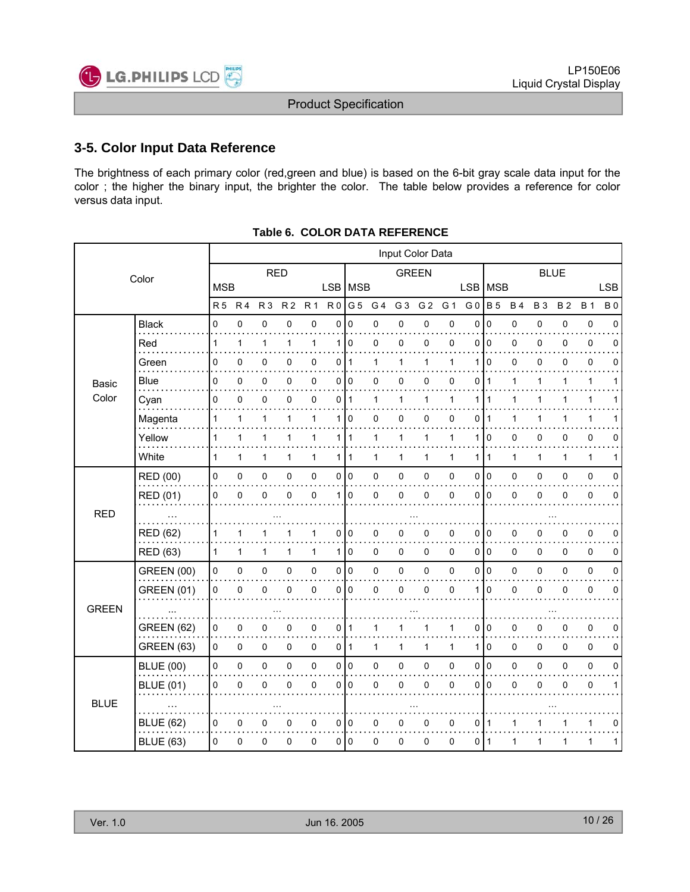

## **3-5. Color Input Data Reference**

The brightness of each primary color (red,green and blue) is based on the 6-bit gray scale data input for the color ; the higher the binary input, the brighter the color. The table below provides a reference for color versus data input.

| Color        |                                      |              |              |                |                |              |                |                |                |                |                |              |                |                |             | Input Color Data |              |              |              |  |  |  |  |  |  |  |
|--------------|--------------------------------------|--------------|--------------|----------------|----------------|--------------|----------------|----------------|----------------|----------------|----------------|--------------|----------------|----------------|-------------|------------------|--------------|--------------|--------------|--|--|--|--|--|--|--|
|              |                                      |              |              | <b>RED</b>     |                |              |                |                | <b>GREEN</b>   |                |                |              |                |                | <b>BLUE</b> |                  |              |              |              |  |  |  |  |  |  |  |
|              |                                      | <b>MSB</b>   |              |                |                |              | <b>LSB</b>     | <b>MSB</b>     |                |                |                |              | <b>LSB</b>     | <b>MSB</b>     |             |                  |              |              | <b>LSB</b>   |  |  |  |  |  |  |  |
|              |                                      | R5 R4        |              | R <sub>3</sub> | R <sub>2</sub> | <b>R1</b>    | R <sub>0</sub> | G <sub>5</sub> | G <sub>4</sub> | G <sub>3</sub> | G <sub>2</sub> | G 1          | G <sub>0</sub> | <b>B5</b>      | <b>B4</b>   | <b>B3</b>        | <b>B2</b>    | <b>B</b> 1   | <b>B0</b>    |  |  |  |  |  |  |  |
|              | <b>Black</b>                         | 0            | 0            | 0              | 0              | 0            | 0              | $\pmb{0}$      | 0              | 0              | 0              | 0            | 0              | $\pmb{0}$      | 0           | 0                | 0            | $\pmb{0}$    | 0            |  |  |  |  |  |  |  |
|              | Red                                  | 1            | 1            | $\mathbf{1}$   | 1              | $\mathbf{1}$ | 1              | 0              | 0              | 0              | 0              | 0            | $\mathbf 0$    | $\pmb{0}$      | 0           | 0                | 0            | $\pmb{0}$    | 0            |  |  |  |  |  |  |  |
|              | Green<br>$\sim$ $\sim$ $\sim$ $\sim$ | 0            | 0            | 0              | 0              | 0            | 0              | $\mathbf{1}$   | 1              | 1              | $\mathbf{1}$   | 1            | 1              | 0              | 0           | 0                | 0            | 0            | 0            |  |  |  |  |  |  |  |
| <b>Basic</b> | Blue                                 | 0            | 0            | 0              | 0              | 0            | 0              | $\mathbf 0$    | 0              | 0              | 0              | 0            | 0              | $\mathbf{1}$   | 1           | 1                | 1            | $\mathbf{1}$ | 1            |  |  |  |  |  |  |  |
| Color        | Cyan                                 | 0            | 0            | 0              | 0              | $\pmb{0}$    | 0              | $\overline{1}$ | 1              | 1              | 1              | 1            | 1              | 1              | 1           | 1                |              | 1            |              |  |  |  |  |  |  |  |
|              | Magenta                              | 1            | 1            | 1              | 1              | 1            | 1              | 0              | 0              | 0              | 0              | 0            | 0              | 1              | 1           | 1                | 1            | $\mathbf{1}$ | 1            |  |  |  |  |  |  |  |
|              | Yellow                               | 1            | 1            | $\mathbf{1}$   | 1              | $\mathbf{1}$ | 1              | 1              | $\mathbf{1}$   | $\mathbf{1}$   | $\mathbf{1}$   | 1            | 1              | $\mathbf 0$    | 0           | 0                | 0            | $\pmb{0}$    | 0            |  |  |  |  |  |  |  |
|              | White                                | 1            | 1            | 1              | 1              | $\mathbf{1}$ | 1              | 1              | 1              | 1              | 1              | $\mathbf{1}$ | 1              | 1              | 1           | $\mathbf{1}$     | $\mathbf{1}$ | $\mathbf{1}$ | 1            |  |  |  |  |  |  |  |
|              | RED (00)                             | 0            | $\mathsf 0$  | $\pmb{0}$      | 0              | $\pmb{0}$    | 0              | $\overline{0}$ | $\mathsf 0$    | $\pmb{0}$      | 0              | $\pmb{0}$    | $\mathbf 0$    | $\overline{0}$ | 0           | 0                | $\mathbf 0$  | $\pmb{0}$    | $\mathbf 0$  |  |  |  |  |  |  |  |
|              | <b>RED (01)</b>                      | 0            | 0            | 0              | 0              | 0            | 1              | 0              | 0              | 0              | 0              | $\mathbf{0}$ | $\mathbf{0}$   | $\mathbf 0$    | 0           | 0                | 0            | 0            | 0            |  |  |  |  |  |  |  |
| <b>RED</b>   |                                      |              |              |                |                |              |                |                |                |                |                |              |                |                |             |                  |              |              |              |  |  |  |  |  |  |  |
|              | <b>RED (62)</b>                      |              | 1            |                |                | 1            | 0              | 0              | 0              | 0              | 0              | 0            | 0              | $\mathbf 0$    | 0           | 0                | 0            | 0            | 0            |  |  |  |  |  |  |  |
|              | <b>RED (63)</b>                      | $\mathbf{1}$ | $\mathbf{1}$ | $\mathbf{1}$   | 1              | $\mathbf{1}$ | 1              | $\pmb{0}$      | $\pmb{0}$      | 0              | $\pmb{0}$      | $\pmb{0}$    | $\mathbf 0$    | $\overline{0}$ | 0           | 0                | 0            | $\pmb{0}$    | $\pmb{0}$    |  |  |  |  |  |  |  |
|              | <b>GREEN (00)</b>                    | 0            | $\mathsf 0$  | $\pmb{0}$      | 0              | $\pmb{0}$    | 0              | $\overline{0}$ | $\pmb{0}$      | $\pmb{0}$      | 0              | $\mathbf 0$  | $\mathbf 0$    | l 0            | 0           | 0                | $\mathbf 0$  | $\pmb{0}$    | $\mathbf 0$  |  |  |  |  |  |  |  |
|              | <b>GREEN (01)</b>                    | 0            | 0            | 0              | 0              | 0            | $\Omega$       | <b>0</b>       | 0              | 0              | 0              | $\mathbf 0$  | 1              | $\mathbf 0$    | 0           | $\Omega$         | $\mathbf{0}$ | 0            | 0            |  |  |  |  |  |  |  |
| <b>GREEN</b> |                                      |              |              |                |                |              |                |                |                |                |                |              |                |                |             |                  |              |              |              |  |  |  |  |  |  |  |
|              | <b>GREEN (62)</b>                    | 0            | 0            | 0              | 0              | $\pmb{0}$    | 0              | 1              |                |                | 1              | 1            | 0              | $\mathbf 0$    | 0           | 0                | 0            | $\pmb{0}$    | 0            |  |  |  |  |  |  |  |
|              | <b>GREEN (63)</b>                    | $\mathbf 0$  | 0            | 0              | 0              | $\pmb{0}$    | 0              | $\overline{1}$ | $\mathbf{1}$   | $\mathbf{1}$   | $\mathbf{1}$   | $\mathbf{1}$ | $\mathbf{1}$   | $\overline{0}$ | 0           | 0                | $\pmb{0}$    | $\pmb{0}$    | 0            |  |  |  |  |  |  |  |
|              | <b>BLUE (00)</b>                     | 0            | $\mathsf 0$  | $\pmb{0}$      | $\pmb{0}$      | $\pmb{0}$    | 0              | $\overline{0}$ | $\mathbf 0$    | 0              | 0              | 0            | $\mathbf 0$    | l 0            | 0           | 0                | $\mathbf 0$  | $\pmb{0}$    | $\mathbf 0$  |  |  |  |  |  |  |  |
|              | <b>BLUE (01)</b>                     | 0            | 0            | 0              | 0              | $\mathbf 0$  | $\Omega$       | $\Omega$       | $\Omega$       | $\Omega$       | 0              | 0            | $\mathbf{0}$   | $\Omega$       | 0           | $\Omega$         | $\Omega$     | 0            | 1            |  |  |  |  |  |  |  |
| <b>BLUE</b>  | $\cdots$                             |              |              |                |                |              |                |                |                |                |                |              |                |                |             |                  |              |              |              |  |  |  |  |  |  |  |
|              | <b>BLUE (62)</b>                     | 0            | 0            | 0              | 0              | $\pmb{0}$    | 0              | $\mathbf 0$    | 0              | 0              | 0              | 0            | 0              | 1              |             |                  | 1            | 1            | 0            |  |  |  |  |  |  |  |
|              | <b>BLUE (63)</b>                     | 0            | 0            | 0              | 0              | $\pmb{0}$    | 0              | $\overline{0}$ | 0              | 0              | 0              | $\pmb{0}$    | $\mathbf 0$    | $\mathbf{1}$   | 1           | $\mathbf{1}$     | 1            | $\mathbf{1}$ | $\mathbf{1}$ |  |  |  |  |  |  |  |

#### **Table 6. COLOR DATA REFERENCE**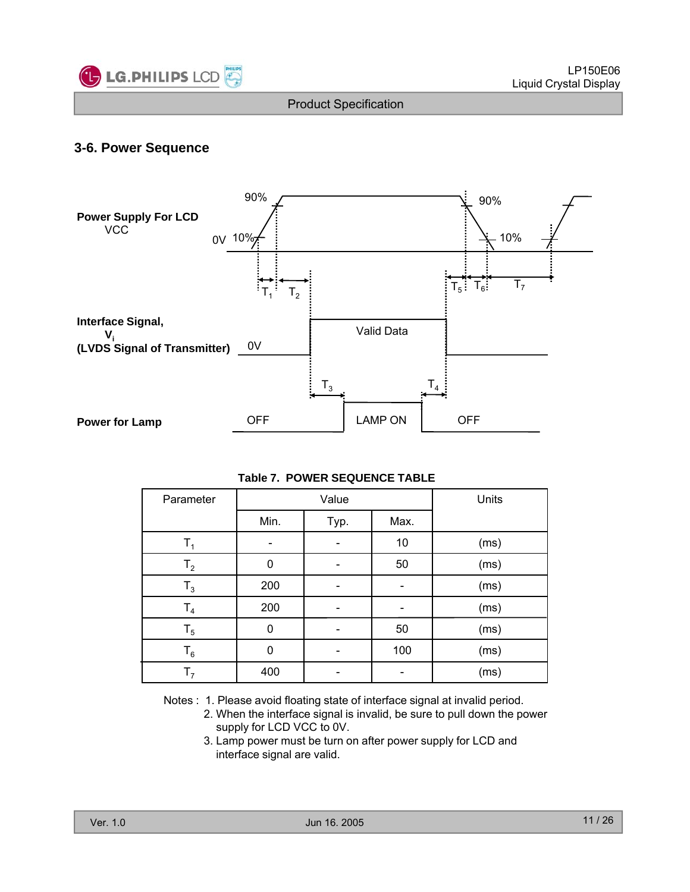

## **3-6. Power Sequence**



#### **Table 7. POWER SEQUENCE TABLE**

| Parameter      |      | Value        | Units |                                                                              |
|----------------|------|--------------|-------|------------------------------------------------------------------------------|
|                | Min. | Max.<br>Typ. |       |                                                                              |
| T <sub>1</sub> |      |              | 10    | (ms)                                                                         |
| T <sub>2</sub> | 0    |              | 50    | (ms)                                                                         |
| $T_3$          | 200  |              |       | (ms)                                                                         |
| T <sub>4</sub> | 200  |              |       | (ms)                                                                         |
| $T_5$          | 0    |              | 50    | (ms)                                                                         |
| $T_6$          | 0    |              | 100   | (ms)                                                                         |
| T <sub>7</sub> | 400  |              |       | (ms)                                                                         |
|                |      |              |       | Notes: 1. Please avoid floating state of interface signal at invalid period. |

- 2. When the interface signal is invalid, be sure to pull down the power supply for LCD VCC to 0V.
- 3. Lamp power must be turn on after power supply for LCD and interface signal are valid.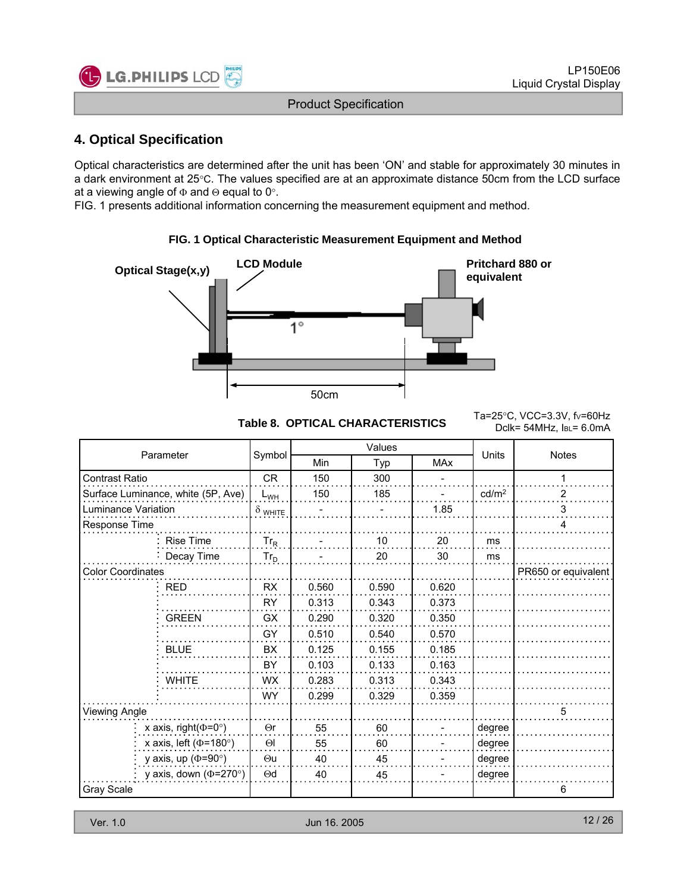

## **4 Optical Specification 4. Optical**

Optical characteristics are determined after the unit has been 'ON' and stable for approximately 30 minutes in a dark environment at 25°C. The values specified are at an approximate distance 50cm from the LCD surface at a viewing angle of  $\Phi$  and  $\Theta$  equal to 0°.

FIG. 1 presents additional information concerning the measurement equipment and method.

# **LCD Module CD Module Pritchard 880 or Optical Stage(x,y) Pritchard 880 or equivalent** ้1° 50cm

Table 8. OPTICAL CHARACTERISTICS<br>College 44.41 http://edu.pro Dclk= 54MHz, IBL= 6.0mA

|                              |                                    |                |       | Values |            |                   |                     |
|------------------------------|------------------------------------|----------------|-------|--------|------------|-------------------|---------------------|
|                              | Parameter                          | Symbol         | Min   | Typ    | <b>MAx</b> | <b>Units</b>      | <b>Notes</b>        |
| Contrast Ratio               |                                    | <b>CR</b>      | 150   | 300    |            |                   | 1                   |
|                              | Surface Luminance, white (5P, Ave) | $L_{WH}$       | 150   | 185    |            | cd/m <sup>2</sup> | 2                   |
| Luminance Variation          |                                    | $\delta$ white |       |        | 1.85       |                   | 3                   |
| Response Time                |                                    |                |       |        |            |                   | 4                   |
|                              | <b>Rise Time</b>                   | $Tr_R$         |       | 10     | 20         | ms                |                     |
|                              | Decay Time                         | $Tr_D$         |       | 20     | 30         | ms                |                     |
| <b>Color Coordinates</b>     |                                    |                |       |        |            |                   | PR650 or equivalent |
|                              | <b>RED</b>                         | <b>RX</b>      | 0.560 | 0.590  | 0.620      |                   |                     |
|                              |                                    | <b>RY</b>      | 0.313 | 0.343  | 0.373      |                   |                     |
|                              | <b>GREEN</b>                       | <b>GX</b>      | 0.290 | 0.320  | 0.350      |                   |                     |
|                              |                                    | GY             | 0.510 | 0.540  | 0.570      |                   |                     |
|                              | <b>BLUE</b>                        | BX             | 0.125 | 0.155  | 0.185      |                   |                     |
|                              |                                    | BY             | 0.103 | 0.133  | 0.163      |                   |                     |
|                              | <b>WHITE</b>                       | <b>WX</b>      | 0.283 | 0.313  | 0.343      |                   |                     |
|                              |                                    | <b>WY</b>      | 0.299 | 0.329  | 0.359      |                   |                     |
| Viewing Angle                |                                    |                |       |        |            |                   | 5                   |
| x axis, right( $\Phi$ =0°)   |                                    | $\Theta$ r     | 55    | 60     |            | degree            |                     |
| x axis, left ( $\Phi$ =180°) | $\Theta$                           | 55             | 60    |        | degree     |                   |                     |
| y axis, up ( $\Phi$ =90°)    |                                    | $\Theta$ u     | 40    | 45     |            | degree            |                     |
|                              | y axis, down ( $\Phi$ =270°)       | $\Theta$ d     | 40    | 45     |            | degree            |                     |
| <b>Gray Scale</b>            |                                    |                |       |        |            |                   | 6                   |

## **FIG. 1 Optical Characteristic Measurement Equipment and Method FIG. 1 Optical Characteristic Measurement Equipment and**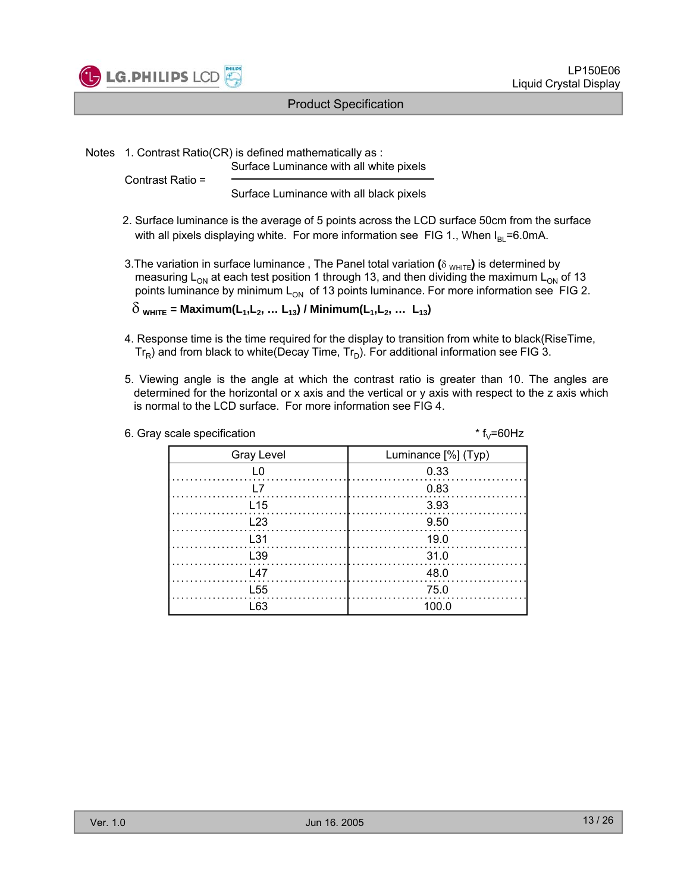

Notes 1. Contrast Ratio(CR) is defined mathematically as :

Surface Luminance with all white pixels

Contrast Ratio =

Surface Luminance with all black pixels

- 2. Surface luminance is the average of 5 points across the LCD surface 50cm from the surface with all pixels displaying white. For more information see FIG 1., When  $I_{BI}$ =6.0mA.
- 3. The variation in surface luminance, The Panel total variation (δ <sub>WHITE</sub>) is determined by measuring  $L_{ON}$  at each test position 1 through 13, and then dividing the maximum  $L_{ON}$  of 13 points luminance by minimum  $L_{ON}$  of 13 points luminance. For more information see FIG 2.  $\delta_{\text{WHITE}}$  = Maximum(L<sub>1</sub>,L<sub>2</sub>, ... L<sub>13</sub>) / Minimum(L<sub>1</sub>,L<sub>2</sub>, ... L<sub>13</sub>)

4. Response time is the time required for the display to transition from white to black(RiseTime,  $Tr_R$ ) and from black to white(Decay Time,  $Tr_D$ ). For additional information see FIG 3.

5. Viewing angle is the angle at which the contrast ratio is greater than 10. The angles are determined for the horizontal or x axis and the vertical or y axis with respect to the z axis which is normal to the LCD surface. For more information see FIG 4.

| 6. Gray scale specification | * $f_y = 60$ Hz     |
|-----------------------------|---------------------|
| <b>Gray Level</b>           | Luminance [%] (Typ) |
|                             | 0.33                |
|                             | 0.83                |
| L <sub>15</sub>             | -3.93               |
| L23                         | 9.50                |
| l 31                        | 19.0                |
| L <sub>39</sub>             | 31.0                |
| 147                         | 48.0                |
| L <sub>55</sub>             | 75.0                |
| L63                         | 100.0               |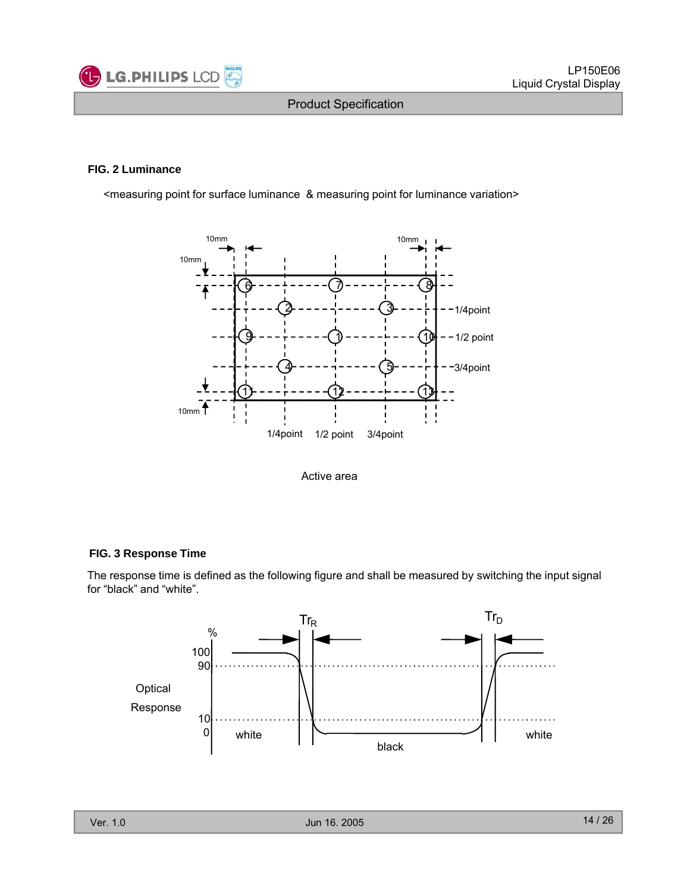

#### **FIG. 2 Luminance**

<measuring point for surface luminance & measuring point for luminance variation>



Active area

#### **FIG. 3 Response Time**

The response time is defined as the following figure and shall be measured by switching the input signal for "black" and "white".

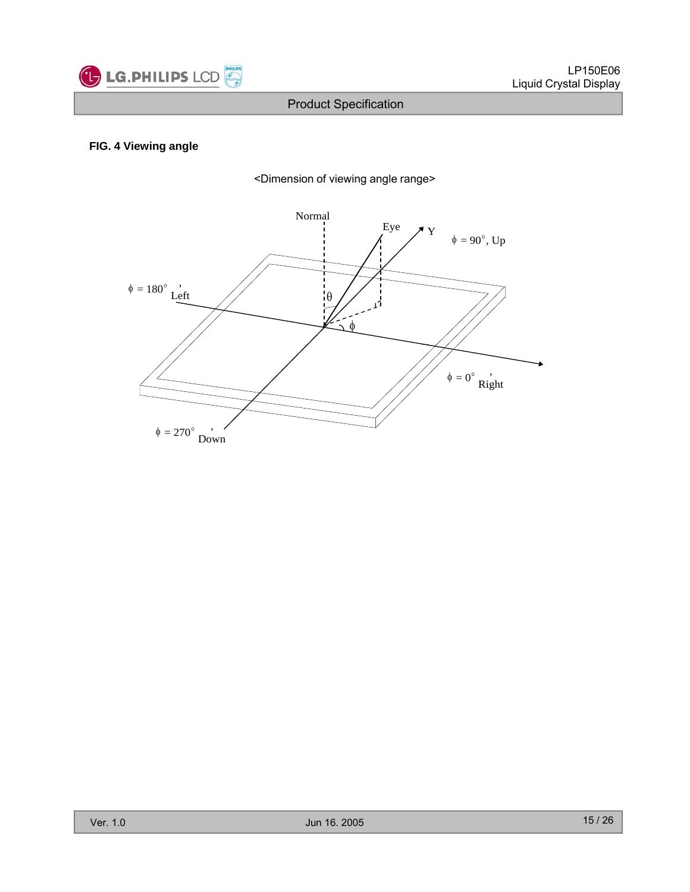

#### **FIG. 4 Viewing angle**



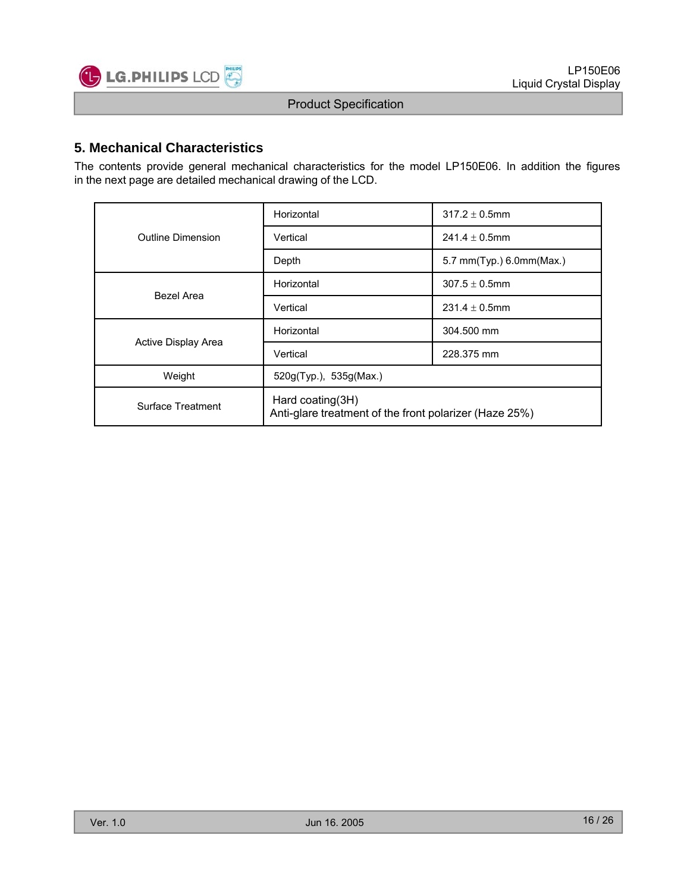

### **5. Mechanical Characteristics**

The contents provide general mechanical characteristics for the model LP150E06. In addition the figures in the next page are detailed mechanical drawing of the LCD.

|                     | Horizontal                                                                 | $317.2 \pm 0.5$ mm       |  |  |  |
|---------------------|----------------------------------------------------------------------------|--------------------------|--|--|--|
| Outline Dimension   | Vertical                                                                   | $241.4 \pm 0.5$ mm       |  |  |  |
|                     | Depth                                                                      | 5.7 mm(Typ.) 6.0mm(Max.) |  |  |  |
| Bezel Area          | Horizontal                                                                 | $307.5 \pm 0.5$ mm       |  |  |  |
|                     | Vertical                                                                   | $231.4 \pm 0.5$ mm       |  |  |  |
|                     | Horizontal                                                                 | 304.500 mm               |  |  |  |
| Active Display Area | Vertical                                                                   | 228.375 mm               |  |  |  |
| Weight              | 520g(Typ.), 535g(Max.)                                                     |                          |  |  |  |
| Surface Treatment   | Hard coating(3H)<br>Anti-glare treatment of the front polarizer (Haze 25%) |                          |  |  |  |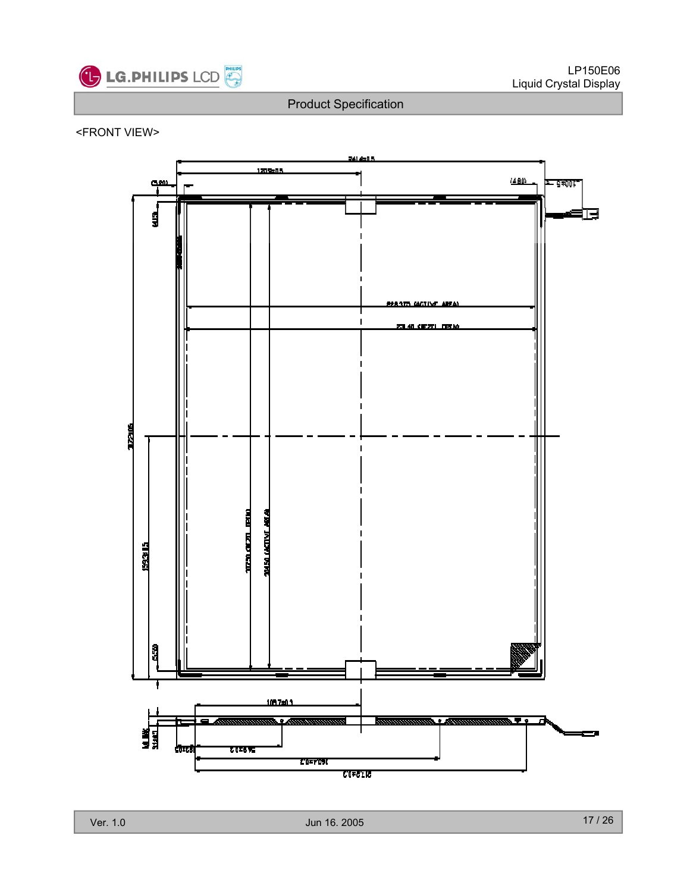

#### <FRONT VIEW>

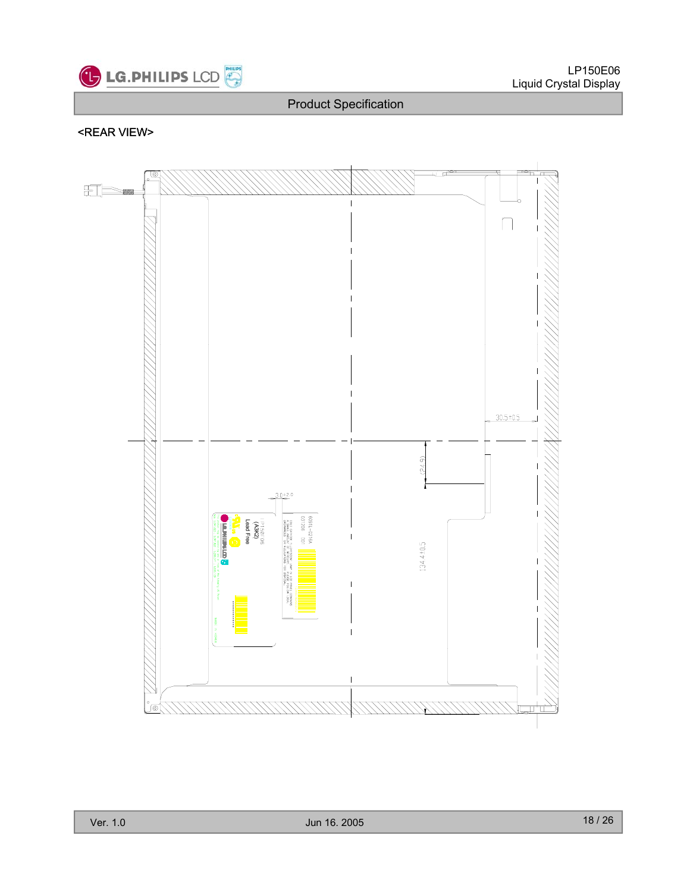

## <REAR VIEW>

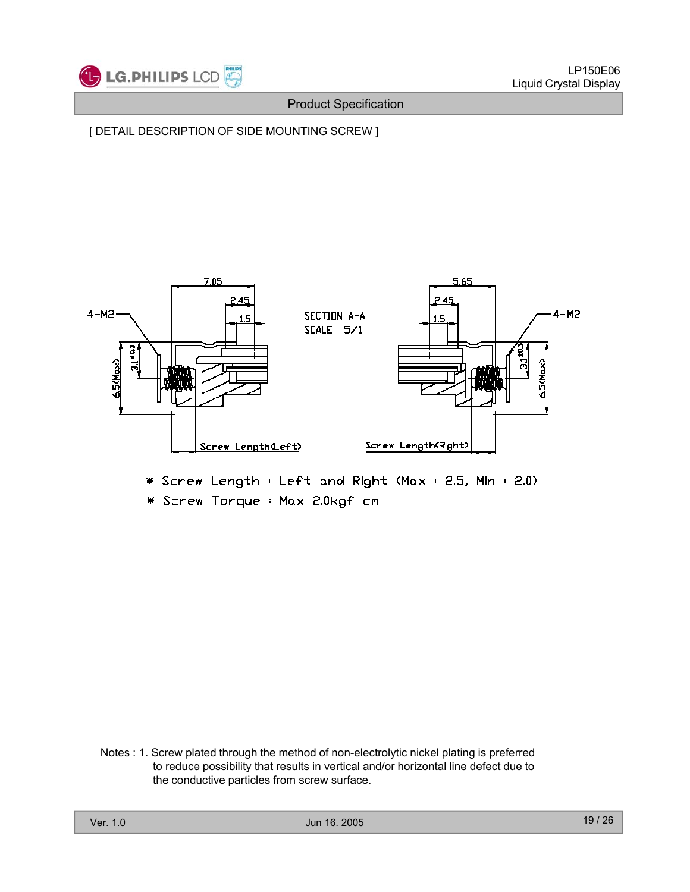

[ DETAIL DESCRIPTION OF SIDE MOUNTING SCREW ]



\* Screw Length : Left and Right (Max : 2.5, Min : 2.0)

\* Screw Torque : Max 2.0kgf cm

Notes : 1. Screw plated through the method of non-electrolytic nickel plating is preferred<br>to reduce possibility that results in vertical and/or horizontal line defect due to the conductive particles from screw surface.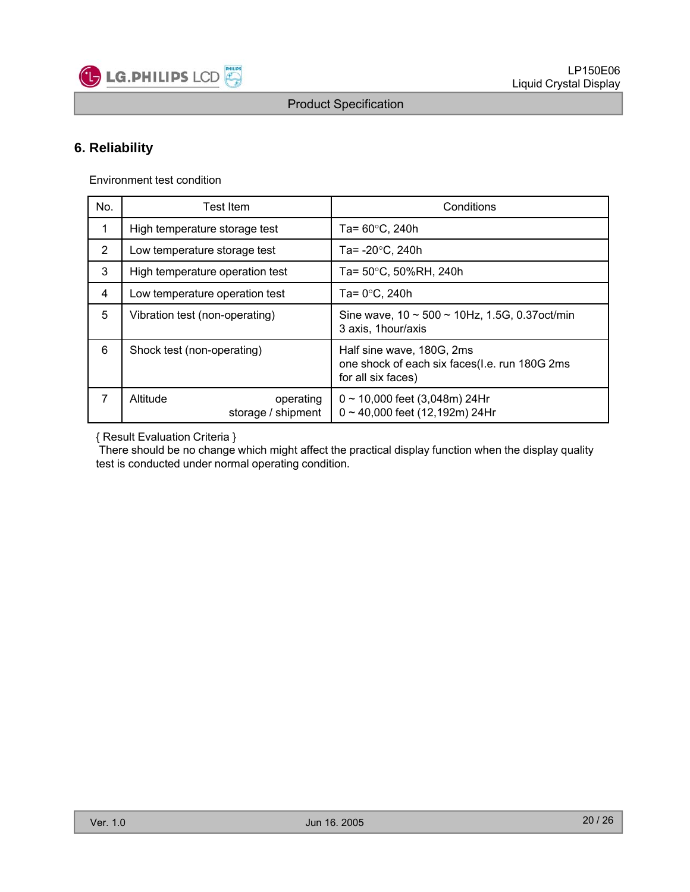

## **6. Reliability**

Environment test condition

| No.            | Test Item                                   | Conditions                                                                                       |  |  |  |  |  |
|----------------|---------------------------------------------|--------------------------------------------------------------------------------------------------|--|--|--|--|--|
| 1              | High temperature storage test               | Ta= $60^{\circ}$ C, 240h                                                                         |  |  |  |  |  |
| $\overline{2}$ | Low temperature storage test                | Ta= $-20^{\circ}$ C, 240h                                                                        |  |  |  |  |  |
| 3              | High temperature operation test             | Ta= 50°C, 50%RH, 240h                                                                            |  |  |  |  |  |
| 4              | Low temperature operation test              | Ta= $0^{\circ}$ C, 240h                                                                          |  |  |  |  |  |
| 5              | Vibration test (non-operating)              | Sine wave, $10 \sim 500 \sim 10$ Hz, 1.5G, 0.37 oct/min<br>3 axis, 1 hour/axis                   |  |  |  |  |  |
| 6              | Shock test (non-operating)                  | Half sine wave, 180G, 2ms<br>one shock of each six faces(I.e. run 180G 2ms<br>for all six faces) |  |  |  |  |  |
| $\overline{7}$ | Altitude<br>operating<br>storage / shipment | $0 \sim 10,000$ feet (3,048m) 24Hr<br>$0 \sim 40,000$ feet (12,192m) 24Hr                        |  |  |  |  |  |

{ Result Evaluation Criteria }

There should be no change which might affect the practical display function when the display quality test is conducted under normal operating condition.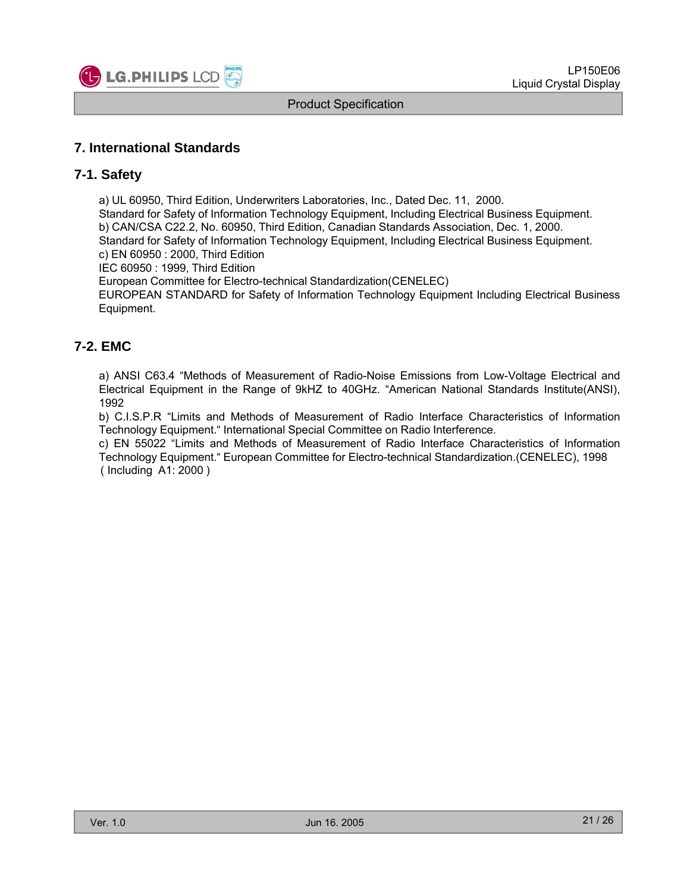

## **7. International Standards**

#### **7-1. Safety**

a) UL 60950, Third Edition, Underwriters Laboratories, Inc., Dated Dec. 11, 2000. Standard for Safety of Information Technology Equipment, Including Electrical Business Equipment. b) CAN/CSA C22.2, No. 60950, Third Edition, Canadian Standards Association, Dec. 1, 2000. Standard for Safety of Information Technology Equipment, Including Electrical Business Equipment. c) EN 60950 : 2000, Third Edition

IEC 60950 : 1999, Third Edition

European Committee for Electro-technical Standardization(CENELEC)

EUROPEAN STANDARD for Safety of Information Technology Equipment Including Electrical Business Equipment.

## **7-2 EMC .**

a) ANSI C63.4 "Methods of Measurement of Radio-Noise Emissions from Low-Voltage Electrical and Electrical Equipment in the Range of 9kHZ to 40GHz. "American National Standards Institute(ANSI), 1992

b) C.I.S.P.R "Limits and Methods of Measurement of Radio Interface Characteristics of Information Technology Equipment." International Special Committee on Radio Interference.

c) EN 55022 "Limits and Methods of Measurement of Radio Interface Characteristics of Information Technology Equipment." European Committee for Electro-technical Standardization.(CENELEC), 1998 ( Including A1: 2000 )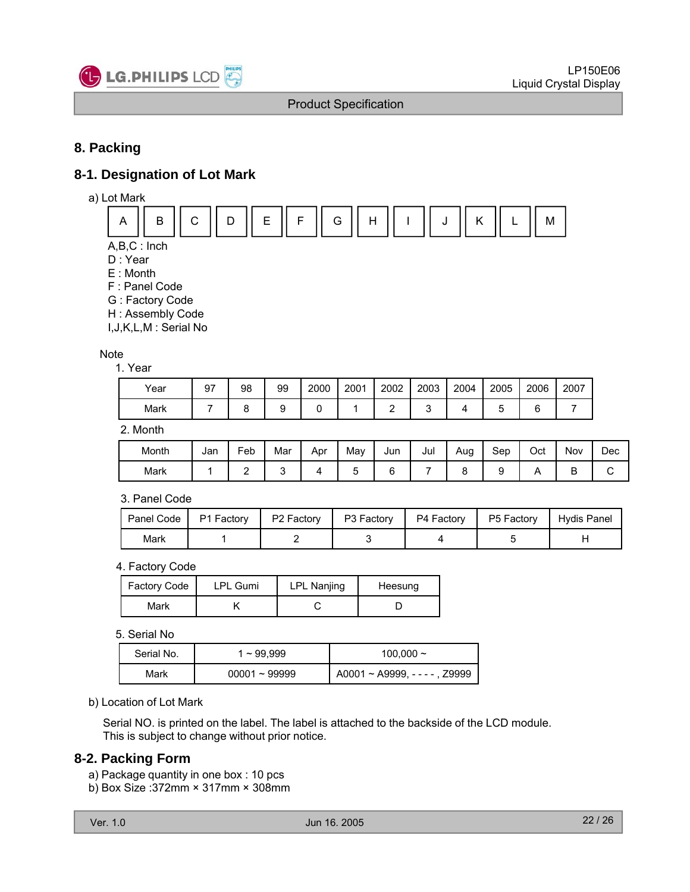

## **8. Packing**

## **8-1. Designation of Lot Mark**

a) Lot Mark



 $A,B,C:Inch$ 

- D : Year
- E : Month
- F : Panel Code
- G : Factory Code
- H : Assembly Code

I,J,K,L,M : Serial No

#### **Note** 1. Year

| Year | 97 | 98 | 99 | 2000 | 2001 | 2002 | 2003 | 2004 | 2005 | 2006        | 2007 |
|------|----|----|----|------|------|------|------|------|------|-------------|------|
| Mark |    |    |    |      |      | -    |      |      | ∼    | ⌒<br>∽<br>ັ |      |

2. Month

| Month | Jan | Feb | Mar                      | Apr | May | Jun    | Jul | Aug<br>۔ | Sep | Oct | Nov    | Dec |
|-------|-----|-----|--------------------------|-----|-----|--------|-----|----------|-----|-----|--------|-----|
| Mark  |     |     | $\overline{\phantom{a}}$ |     | ◡   | -<br>ı |     |          |     |     | -<br>◡ | ∼   |

#### 3. Panel Code

| Panel Code | P1 Factory | P <sub>2</sub> Factory | P3 Factory | P4 Factory | P5 Factory | Hydis Panel |
|------------|------------|------------------------|------------|------------|------------|-------------|
| Mark       |            |                        |            |            |            |             |

#### 4. Factory Code

| Factory Code | <b>LPL Gumi</b> | <b>LPL Nanjing</b> | Heesung |  |  |  |
|--------------|-----------------|--------------------|---------|--|--|--|
| Mark         |                 |                    |         |  |  |  |

5. Serial No

| Serial No. | 1~99.999        | $100.000 \sim$                       |
|------------|-----------------|--------------------------------------|
| Mark       | $00001 - 99999$ | $A0001 \sim A9999$ , $- - -$ , Z9999 |

#### b) Location of Lot Mark

Serial NO. is printed on the label. The label is attached to the backside of the LCD module. This is subject to change without prior notice.

#### **8-2. Packing Form**

- a) Package quantity in one box : 10 pcs
- b) Box Size :372mm × 317mm × 308mm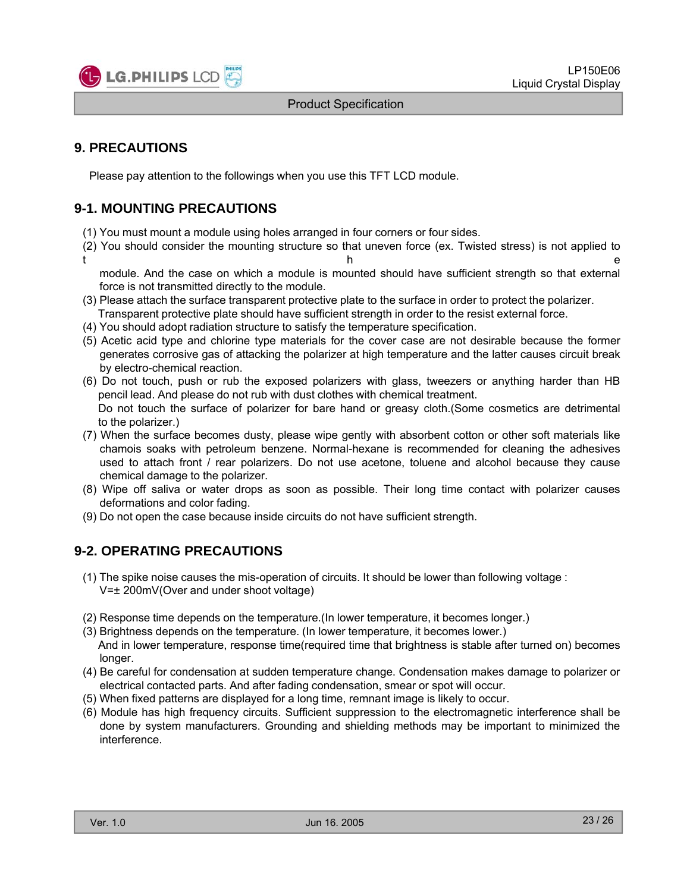

## **9. PRECAUTIONS**

Please pay attention to the followings when you use this TFT LCD module.

## **9-1. MOUNTING PRECAUTIONS**

- (1) You must mount a module using holes arranged in four corners or four sides.
- (2) You should consider the mounting structure so that uneven force (ex. Twisted stress) is not applied to t the contract of the contract of the contract of the contract of the contract of the contract of the contract of the contract of the contract of the contract of the contract of the contract of the contract of the contract

module. And the case on which a module is mounted should have sufficient strength so that external force is not transmitted directly to the module.

- (3) Please attach the surface transparent protective plate to the surface in order to protect the polarizer. Transparent protective plate should have sufficient strength in order to the resist external force.
- (4) You should adopt radiation structure to satisfy the temperature specification.
- (5) Acetic acid type and chlorine type materials for the cover case are not desirable because the former generates corrosive gas of attacking the polarizer at high temperature and the latter causes circuit break by electro-chemical reaction.
- (6) Do not touch, push or rub the exposed polarizers with glass, tweezers or anything harder than HB pencil lead. And please do not rub with dust clothes with chemical treatment. Do not touch the surface of polarizer for bare hand or greasy cloth.(Some cosmetics are detrimental to the polarizer.)
- (7) When the surface becomes dusty, please wipe gently with absorbent cotton or other soft materials like ch amo s soaks with petroleum benzene. Normal-hexane is recommended for cleaning the adhesives used to attach front / rear polarizers. Do not use acetone, toluene and alcohol because they cause chemical damage to the polarizer.
- (8) Wipe off saliva or water drops as soon as possible. Their long time contact with polarizer causes deformations and color fading.
- (9) Do not open the case because inside circuits do not have sufficient strength.

## **9-2 OPERATING PRECAUTIONS 2. OPERATING**

- (1) The spike noise causes the mis-operation of circuits. It should be lower than following voltage : V=± 200mV(Over and under shoot voltage)
- (2) Response time depends on the temperature.(In lower temperature, it becomes longer.)
- (3) Brightness depends on the temperature. (In lower temperature, it becomes lower.) And in lower temperature, response time(required time that brightness is stable after turned on) becomes longer.
- (4) Be careful for condensation at sudden temperature change. Condensation makes damage to polarizer or electrical contacted parts. And after fading condensation, smear or spot will occur.
- (5) When fixed patterns are displayed for a long time, remnant image is likely to occur.
- (6) Module has high frequency circuits. Sufficient suppression to the electromagnetic interference shall be done by system manufacturers. Grounding and shielding methods may be important to minimized the interference.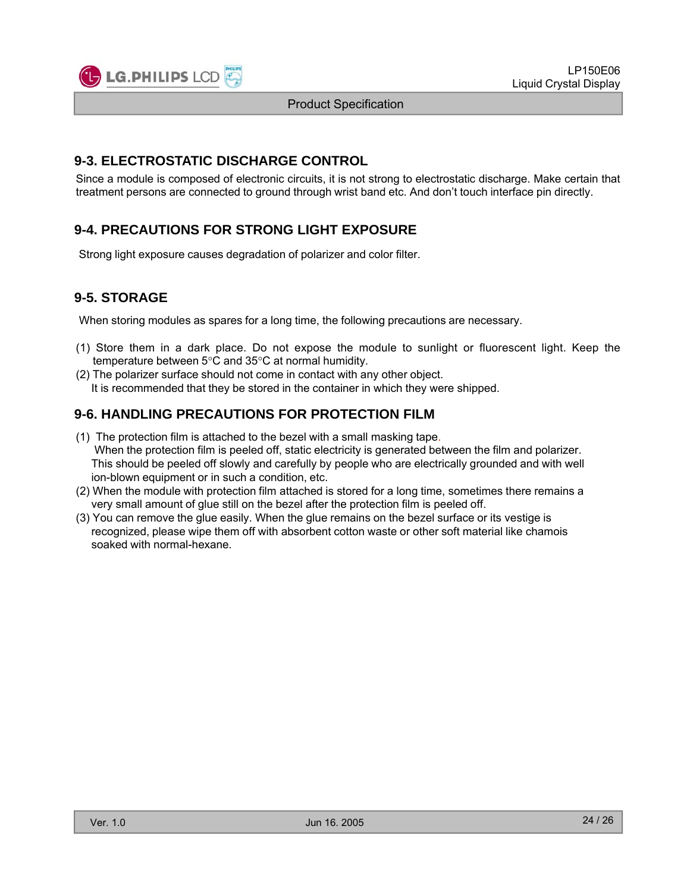

## **9-3. ELECTROSTATIC DISCHARGE CONTROL**

Since a module is composed of electronic circuits, it is not strong to electrostatic discharge. Make certain that treatment persons are connected to ground through wrist band etc. And don't touch interface pin directly.

## **9-4. PRECAUTIONS FOR STRONG LIGHT EXPOSURE**

Strong light exposure causes degradation of polarizer and color filter.

## **9-5. STORAGE**

When storing modules as spares for a long time, the following precautions are necessary.

- (1) Store them in a dark place. Do not expose the module to sunlight or fluorescent light. Keep the temperature between 5°C and 35°C at normal humidity.
- (2) The polarizer surface should not come in contact with any other object. It is recommended that they be stored in the container in which they were shipped.

## **9-6. HANDLING PRECAUTIONS FOR PROTECTION FILM**

- (1) The protection film is attached to the bezel with a small masking tape. When the protection film is peeled off, static electricity is generated between the film and polarizer. This should be peeled off slowly and carefully by people who are electrically grounded and with well ion-blown equipment or in such a condition, etc.
- (2) When the module with protection film attached is stored for a long time, sometimes there remains a very small amount of glue still on the bezel after the protection film is peeled off.
- (3) You can remove the glue easily. When the glue remains on the bezel surface or its vestige is recognized, please wipe them off with absorbent cotton waste or other soft material like chamois soaked with normal-hexane.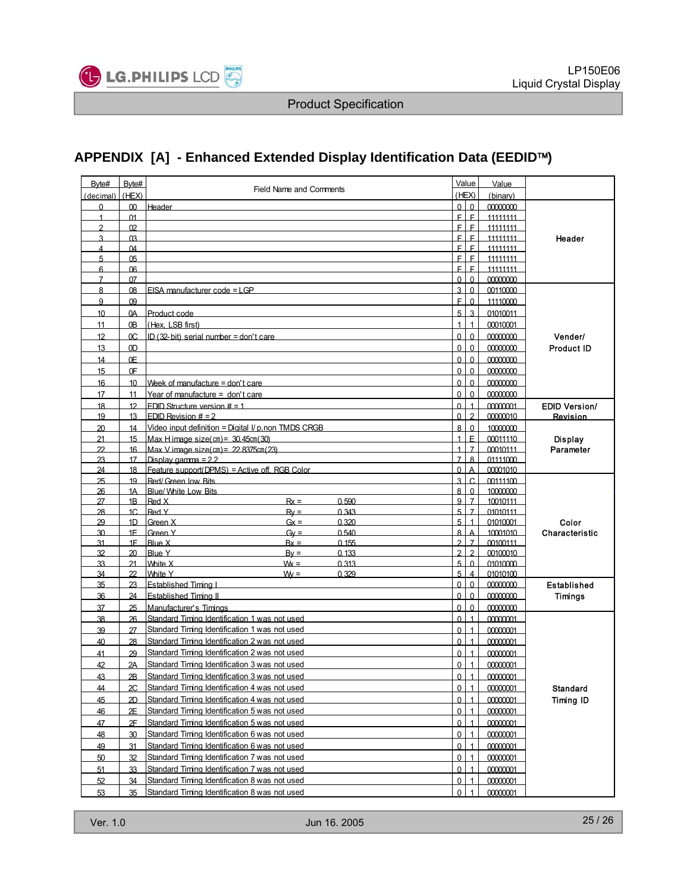

## **APPENDIX [A] - Enhanced Extended Display Identification Data (EEDID**™**)**

| Byte#          | Byte#           |                                                                     |                            | Value                    | Value                |                      |
|----------------|-----------------|---------------------------------------------------------------------|----------------------------|--------------------------|----------------------|----------------------|
| (decimal)      | (HEX)           | <b>Field Name and Comments</b>                                      |                            | (HEX)                    | (binary)             |                      |
| $\Omega$       | 00              | Header                                                              |                            | 0 <sup>1</sup>           | 00000000             |                      |
| $\mathbf{1}$   | $\Omega$ 1      |                                                                     | E.                         | F.                       | 11111111             |                      |
| $\mathfrak{p}$ | 02              |                                                                     | E.                         | F                        | 11111111             |                      |
| 3              | 03              |                                                                     | E.                         | $\mathsf{F}$             | 11111111             | Header               |
| 4              | $\Omega$ 4      |                                                                     | E                          | E                        | 11111111             |                      |
| 5              | 0 <sub>5</sub>  |                                                                     | E.                         | $\mathsf{F}$             | 11111111             |                      |
| 6              | 06              |                                                                     | F.                         | $\mathsf{E}$<br>$\Omega$ | 11111111             |                      |
| $\overline{7}$ | 07              | $FISA$ manufacturer code $=1$ GP                                    | $\Omega$<br>$\overline{3}$ | $\Omega$                 | 00000000             |                      |
| 8              | 08<br>09        |                                                                     | E.                         | $\overline{0}$           | 00110000             |                      |
| 9              |                 |                                                                     | 5                          | $\mathbf{3}$             | 11110000             |                      |
| 10             | 0A              | Product code                                                        | $\overline{1}$             |                          | 01010011             |                      |
| 11             | 0 <sub>B</sub>  | (Hex. LSB first)                                                    |                            | $\mathbf{1}$             | 00010001             |                      |
| 12             | 0C              | ID $(32-bit)$ serial number = don't care                            | $\mathbf{0}$               | $\Omega$                 | 00000000             | Vender/              |
| 13             | 0 <sub>D</sub>  |                                                                     | $\Omega$                   | $\Omega$                 | 00000000             | <b>Product ID</b>    |
| 14             | 0E              |                                                                     | $\Omega$                   | $\mathbf{0}$             | 00000000             |                      |
| 15             | 0F              |                                                                     | $\Omega$                   | $\mathbf{0}$             | 00000000             |                      |
| 16             | 10              | Week of manufacture = don't care                                    | $\Omega$                   | $\overline{0}$           | 00000000             |                      |
| 17             | 11              | Year of manufacture = don't care                                    | $\Omega$                   | $\Omega$                 | 00000000             |                      |
| 18             | 12              | FDID Structure version $# = 1$                                      | $\Omega$                   | $\overline{1}$           | 00000001             | <b>EDID Version/</b> |
| 19             | 13              | FDID Revision $# = 2$                                               | <sup>0</sup>               | $\mathfrak{p}$           | 00000010             | Revision             |
| 20             | 14              | Video input definition = Digital I/ p, non TMDS CRGB                | 8                          | $\mathbf{0}$             | 10000000             |                      |
| 21             | 15              | Max H image size(cm) = $30.45cm(30)$                                |                            | F.                       | 00011110             | <b>Display</b>       |
| 22             | 16              | Max V image size(cm) = $22$ 8375cm(23)                              |                            | $\overline{7}$           | 00010111             | Parameter            |
| 23             | 17              | Display gamma = $22$                                                | $\overline{7}$             | $\mathbf{8}$             | 01111000             |                      |
| 24             | 18              | Feature support(DPMS) = Active off. RGB Color<br>Red/Green low Bits | $\Omega$<br>$\overline{A}$ | $\overline{A}$<br>Ċ      | 00001010             |                      |
| 25<br>26       | 19<br>1A        | Blue/ White I ow Bits                                               | 8                          | $\Omega$                 | 00111100<br>10000000 |                      |
| 27             | 1B              | Red X<br>$Rx =$<br>0.590                                            | q                          | $\overline{7}$           | 10010111             |                      |
| 28             | 1C              | Red Y<br>0.343<br>$Rv =$                                            | 5                          |                          | 01010111             |                      |
| 29             | 1 <sub>D</sub>  | Green X<br>$Gx =$<br>0.320                                          | 5                          | $\mathbf{1}$             | 01010001             | Color                |
| 30             | 1F              | Green Y<br>$Gv =$<br>0.540                                          | 8                          |                          | 10001010             | Characteristic       |
| 31             | 1F              | <b>Blue X</b><br>0.155<br>$Bx =$                                    | $\mathfrak{p}$             | $\overline{7}$           | 00100111             |                      |
| 32             | 20              | <b>Blue Y</b><br>0.133<br>$Bv =$                                    | $\mathfrak{p}$             | $\mathfrak{p}$           | 00100010             |                      |
| 33             | 21              | White X<br>0.313<br>$Wx =$                                          | 5                          | $\Omega$                 | 01010000             |                      |
| 34             | 22              | White Y<br>$W =$<br>0.329                                           | 5                          | $\overline{\mathbf{4}}$  | 01010100             |                      |
| 35             | 23              | Established Timing L                                                | $\Omega$                   | $\Omega$                 | 00000000             | Established          |
| 36             | 24              | Established Timing II                                               | $\Omega$                   | $\mathbf{0}$             | 00000000             | Timings              |
| 37             | 25              | Manufacturer's Timings                                              | $\Omega$                   | $\Omega$                 | 00000000             |                      |
| 38             | $\overline{26}$ | Standard Timing Identification 1 was not used                       | $\Omega$                   | $\overline{1}$           | 00000001             |                      |
| 39             | 27              | Standard Timing Identification 1 was not used                       | $\Omega$                   | $\overline{1}$           | 00000001             |                      |
| 40             | 28              | Standard Timing Identification 2 was not used                       | $\Omega$                   | $\mathbf{1}$             | 00000001             |                      |
| 41             | 29              | Standard Timing Identification 2 was not used                       | $\Omega$                   |                          | 00000001             |                      |
| 42             | 2A              | Standard Timing Identification 3 was not used                       | $\Omega$                   | $\mathbf{1}$             | 00000001             |                      |
| 43             | 2B              | Standard Timing Identification 3 was not used                       | $\Omega$                   | $\overline{1}$           | 00000001             |                      |
| 44             | 2С              | Standard Timing Identification 4 was not used                       | 0                          | $\mathbf{1}$             | 00000001             | <b>Standard</b>      |
| 45             | 2D              | Standard Timing Identification 4 was not used                       | $\Omega$                   | $\overline{1}$           | 00000001             | Timing ID            |
| 46             | 2E              | Standard Timing Identification 5 was not used                       | 0                          | $\overline{1}$           | 00000001             |                      |
| 47             | 2F              | Standard Timing Identification 5 was not used                       | $\Omega$                   |                          | 00000001             |                      |
| 48             | 30              | Standard Timing Identification 6 was not used                       | 0                          |                          | 00000001             |                      |
| 49             | 31              | Standard Timing Identification 6 was not used                       | $\Omega$                   | $\mathbf{1}$             | 00000001             |                      |
| 50             | 32              | Standard Timing Identification 7 was not used                       | 0                          | $\mathbf{1}$             | 00000001             |                      |
| 51             | 33              | Standard Timing Identification 7 was not used                       | $\Omega$                   | 1                        | 00000001             |                      |
| 52             | 34              | Standard Timing Identification 8 was not used                       | $\overline{0}$             | $\overline{1}$           | 00000001             |                      |
| 53             | 35              | Standard Timing Identification 8 was not used                       | $\Omega$                   | $\overline{1}$           | 00000001             |                      |